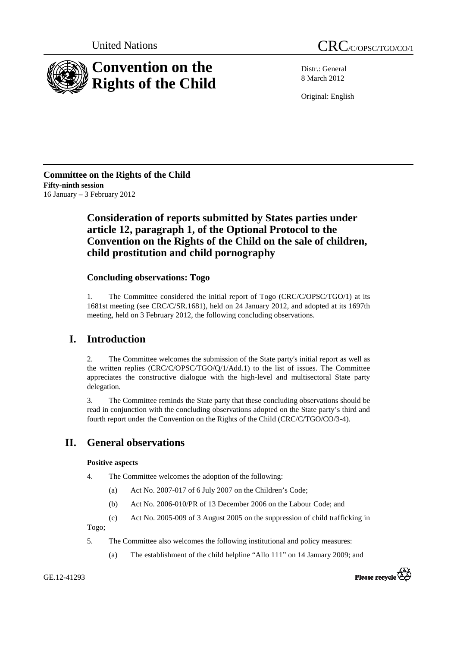

Distr.: General 8 March 2012

Original: English

**Committee on the Rights of the Child Fifty-ninth session**  16 January – 3 February 2012

# **Consideration of reports submitted by States parties under article 12, paragraph 1, of the Optional Protocol to the Convention on the Rights of the Child on the sale of children, child prostitution and child pornography**

## **Concluding observations: Togo**

1. The Committee considered the initial report of Togo (CRC/C/OPSC/TGO/1) at its 1681st meeting (see CRC/C/SR.1681), held on 24 January 2012, and adopted at its 1697th meeting, held on 3 February 2012, the following concluding observations.

# **I. Introduction**

2. The Committee welcomes the submission of the State party's initial report as well as the written replies (CRC/C/OPSC/TGO/Q/1/Add.1) to the list of issues. The Committee appreciates the constructive dialogue with the high-level and multisectoral State party delegation.

3. The Committee reminds the State party that these concluding observations should be read in conjunction with the concluding observations adopted on the State party's third and fourth report under the Convention on the Rights of the Child (CRC/C/TGO/CO/3-4).

# **II. General observations**

## **Positive aspects**

- 4. The Committee welcomes the adoption of the following:
	- (a) Act No. 2007-017 of 6 July 2007 on the Children's Code;
	- (b) Act No. 2006-010/PR of 13 December 2006 on the Labour Code; and
	- (c) Act No. 2005-009 of 3 August 2005 on the suppression of child trafficking in

Togo;

- 5. The Committee also welcomes the following institutional and policy measures:
	- (a) The establishment of the child helpline "Allo 111" on 14 January 2009; and

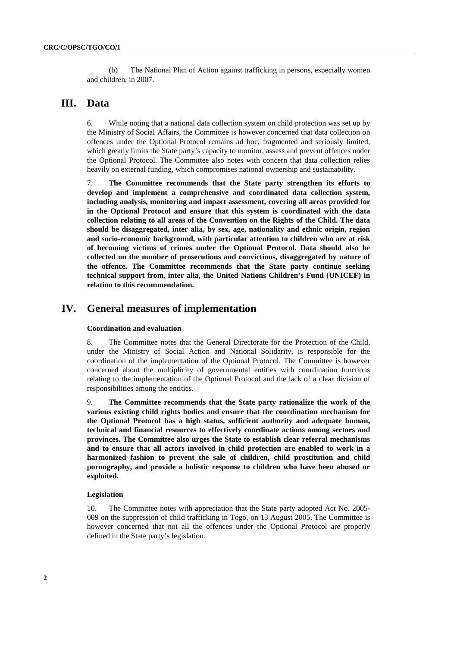(b) The National Plan of Action against trafficking in persons, especially women and children, in 2007.

## **III. Data**

6. While noting that a national data collection system on child protection was set up by the Ministry of Social Affairs, the Committee is however concerned that data collection on offences under the Optional Protocol remains ad hoc, fragmented and seriously limited, which greatly limits the State party's capacity to monitor, assess and prevent offences under the Optional Protocol. The Committee also notes with concern that data collection relies heavily on external funding, which compromises national ownership and sustainability.

7. **The Committee recommends that the State party strengthen its efforts to develop and implement a comprehensive and coordinated data collection system, including analysis, monitoring and impact assessment, covering all areas provided for in the Optional Protocol and ensure that this system is coordinated with the data collection relating to all areas of the Convention on the Rights of the Child. The data should be disaggregated, inter alia, by sex, age, nationality and ethnic origin, region and socio-economic background, with particular attention to children who are at risk of becoming victims of crimes under the Optional Protocol. Data should also be collected on the number of prosecutions and convictions, disaggregated by nature of the offence. The Committee recommends that the State party continue seeking technical support from, inter alia, the United Nations Children's Fund (UNICEF) in relation to this recommendation.** 

## **IV. General measures of implementation**

### **Coordination and evaluation**

8. The Committee notes that the General Directorate for the Protection of the Child, under the Ministry of Social Action and National Solidarity, is responsible for the coordination of the implementation of the Optional Protocol. The Committee is however concerned about the multiplicity of governmental entities with coordination functions relating to the implementation of the Optional Protocol and the lack of a clear division of responsibilities among the entities.

9. **The Committee recommends that the State party rationalize the work of the various existing child rights bodies and ensure that the coordination mechanism for the Optional Protocol has a high status, sufficient authority and adequate human, technical and financial resources to effectively coordinate actions among sectors and provinces. The Committee also urges the State to establish clear referral mechanisms and to ensure that all actors involved in child protection are enabled to work in a harmonized fashion to prevent the sale of children, child prostitution and child pornography, and provide a holistic response to children who have been abused or exploited.** 

#### **Legislation**

10. The Committee notes with appreciation that the State party adopted Act No. 2005- 009 on the suppression of child trafficking in Togo, on 13 August 2005. The Committee is however concerned that not all the offences under the Optional Protocol are properly defined in the State party's legislation.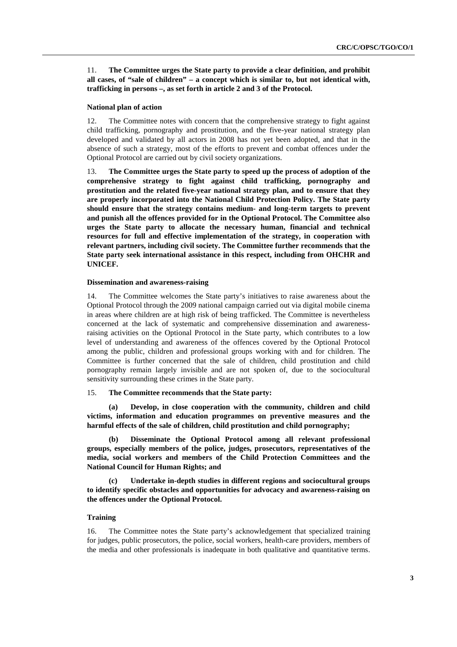### 11. **The Committee urges the State party to provide a clear definition, and prohibit all cases, of "sale of children" – a concept which is similar to, but not identical with, trafficking in persons –, as set forth in article 2 and 3 of the Protocol.**

#### **National plan of action**

12. The Committee notes with concern that the comprehensive strategy to fight against child trafficking, pornography and prostitution, and the five-year national strategy plan developed and validated by all actors in 2008 has not yet been adopted, and that in the absence of such a strategy, most of the efforts to prevent and combat offences under the Optional Protocol are carried out by civil society organizations.

13. **The Committee urges the State party to speed up the process of adoption of the comprehensive strategy to fight against child trafficking, pornography and prostitution and the related five-year national strategy plan, and to ensure that they are properly incorporated into the National Child Protection Policy. The State party should ensure that the strategy contains medium- and long-term targets to prevent and punish all the offences provided for in the Optional Protocol. The Committee also urges the State party to allocate the necessary human, financial and technical resources for full and effective implementation of the strategy, in cooperation with relevant partners, including civil society. The Committee further recommends that the State party seek international assistance in this respect, including from OHCHR and UNICEF.** 

#### **Dissemination and awareness-raising**

14. The Committee welcomes the State party's initiatives to raise awareness about the Optional Protocol through the 2009 national campaign carried out via digital mobile cinema in areas where children are at high risk of being trafficked. The Committee is nevertheless concerned at the lack of systematic and comprehensive dissemination and awarenessraising activities on the Optional Protocol in the State party, which contributes to a low level of understanding and awareness of the offences covered by the Optional Protocol among the public, children and professional groups working with and for children. The Committee is further concerned that the sale of children, child prostitution and child pornography remain largely invisible and are not spoken of, due to the sociocultural sensitivity surrounding these crimes in the State party.

### 15. **The Committee recommends that the State party:**

**(a) Develop, in close cooperation with the community, children and child victims, information and education programmes on preventive measures and the harmful effects of the sale of children, child prostitution and child pornography;** 

**(b) Disseminate the Optional Protocol among all relevant professional groups, especially members of the police, judges, prosecutors, representatives of the media, social workers and members of the Child Protection Committees and the National Council for Human Rights; and** 

**(c) Undertake in-depth studies in different regions and sociocultural groups to identify specific obstacles and opportunities for advocacy and awareness-raising on the offences under the Optional Protocol.** 

### **Training**

16. The Committee notes the State party's acknowledgement that specialized training for judges, public prosecutors, the police, social workers, health-care providers, members of the media and other professionals is inadequate in both qualitative and quantitative terms.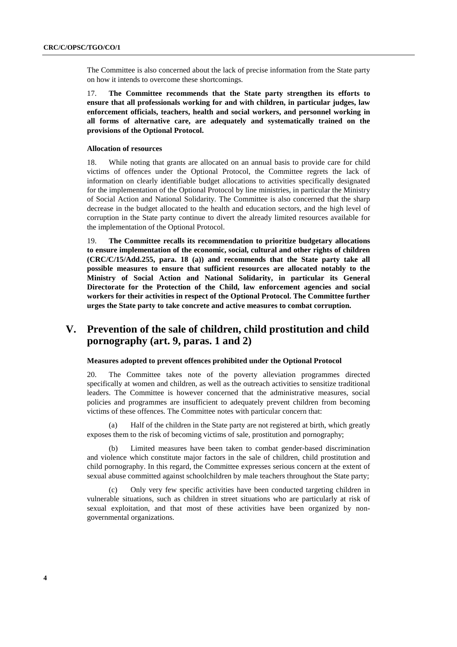The Committee is also concerned about the lack of precise information from the State party on how it intends to overcome these shortcomings.

17. **The Committee recommends that the State party strengthen its efforts to ensure that all professionals working for and with children, in particular judges, law enforcement officials, teachers, health and social workers, and personnel working in all forms of alternative care, are adequately and systematically trained on the provisions of the Optional Protocol.** 

#### **Allocation of resources**

18. While noting that grants are allocated on an annual basis to provide care for child victims of offences under the Optional Protocol, the Committee regrets the lack of information on clearly identifiable budget allocations to activities specifically designated for the implementation of the Optional Protocol by line ministries, in particular the Ministry of Social Action and National Solidarity. The Committee is also concerned that the sharp decrease in the budget allocated to the health and education sectors, and the high level of corruption in the State party continue to divert the already limited resources available for the implementation of the Optional Protocol.

19. **The Committee recalls its recommendation to prioritize budgetary allocations to ensure implementation of the economic, social, cultural and other rights of children (CRC/C/15/Add.255, para. 18 (a)) and recommends that the State party take all possible measures to ensure that sufficient resources are allocated notably to the Ministry of Social Action and National Solidarity, in particular its General Directorate for the Protection of the Child, law enforcement agencies and social workers for their activities in respect of the Optional Protocol. The Committee further urges the State party to take concrete and active measures to combat corruption.** 

# **V. Prevention of the sale of children, child prostitution and child pornography (art. 9, paras. 1 and 2)**

### **Measures adopted to prevent offences prohibited under the Optional Protocol**

20. The Committee takes note of the poverty alleviation programmes directed specifically at women and children, as well as the outreach activities to sensitize traditional leaders. The Committee is however concerned that the administrative measures, social policies and programmes are insufficient to adequately prevent children from becoming victims of these offences. The Committee notes with particular concern that:

Half of the children in the State party are not registered at birth, which greatly exposes them to the risk of becoming victims of sale, prostitution and pornography;

(b) Limited measures have been taken to combat gender-based discrimination and violence which constitute major factors in the sale of children, child prostitution and child pornography. In this regard, the Committee expresses serious concern at the extent of sexual abuse committed against schoolchildren by male teachers throughout the State party;

(c) Only very few specific activities have been conducted targeting children in vulnerable situations, such as children in street situations who are particularly at risk of sexual exploitation, and that most of these activities have been organized by nongovernmental organizations.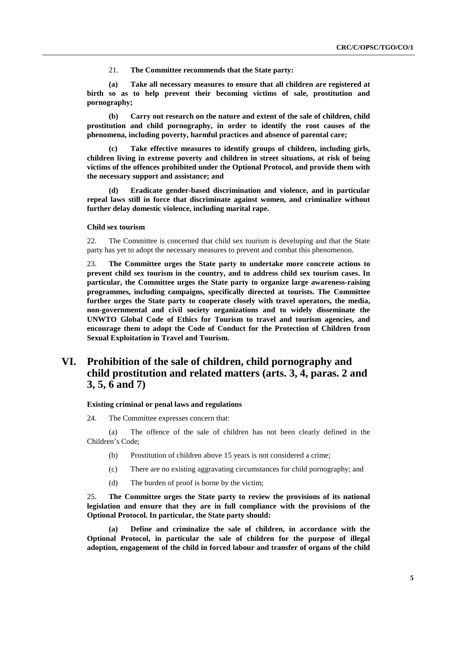21. **The Committee recommends that the State party:** 

**(a) Take all necessary measures to ensure that all children are registered at birth so as to help prevent their becoming victims of sale, prostitution and pornography;** 

**(b) Carry out research on the nature and extent of the sale of children, child prostitution and child pornography, in order to identify the root causes of the phenomena, including poverty, harmful practices and absence of parental care;** 

Take effective measures to identify groups of children, including girls, **children living in extreme poverty and children in street situations, at risk of being victims of the offences prohibited under the Optional Protocol, and provide them with the necessary support and assistance; and** 

**(d) Eradicate gender-based discrimination and violence, and in particular repeal laws still in force that discriminate against women, and criminalize without further delay domestic violence, including marital rape.** 

#### **Child sex tourism**

22. The Committee is concerned that child sex tourism is developing and that the State party has yet to adopt the necessary measures to prevent and combat this phenomenon.

23. **The Committee urges the State party to undertake more concrete actions to prevent child sex tourism in the country, and to address child sex tourism cases. In particular, the Committee urges the State party to organize large awareness-raising programmes, including campaigns, specifically directed at tourists. The Committee further urges the State party to cooperate closely with travel operators, the media, non-governmental and civil society organizations and to widely disseminate the UNWTO Global Code of Ethics for Tourism to travel and tourism agencies, and encourage them to adopt the Code of Conduct for the Protection of Children from Sexual Exploitation in Travel and Tourism.** 

# **VI. Prohibition of the sale of children, child pornography and child prostitution and related matters (arts. 3, 4, paras. 2 and 3, 5, 6 and 7)**

#### **Existing criminal or penal laws and regulations**

24. The Committee expresses concern that:

(a) The offence of the sale of children has not been clearly defined in the Children's Code;

- (b) Prostitution of children above 15 years is not considered a crime;
- (c) There are no existing aggravating circumstances for child pornography; and
- (d) The burden of proof is borne by the victim;

25. **The Committee urges the State party to review the provisions of its national legislation and ensure that they are in full compliance with the provisions of the Optional Protocol. In particular, the State party should:** 

**(a) Define and criminalize the sale of children, in accordance with the Optional Protocol, in particular the sale of children for the purpose of illegal adoption, engagement of the child in forced labour and transfer of organs of the child**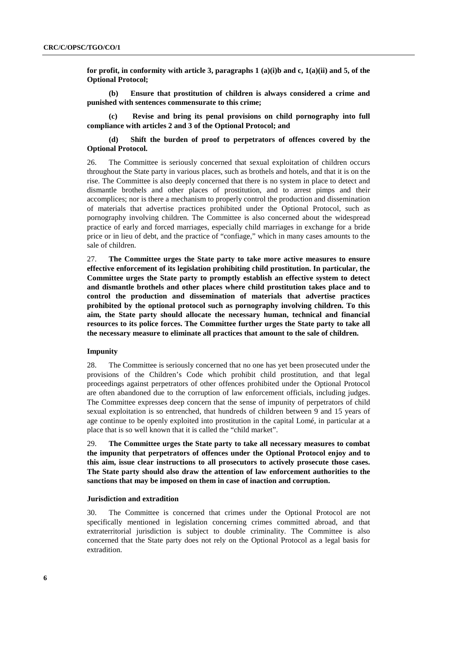for profit, in conformity with article 3, paragraphs 1 (a)(i)b and c, 1(a)(ii) and 5, of the **Optional Protocol;** 

**(b) Ensure that prostitution of children is always considered a crime and punished with sentences commensurate to this crime;** 

Revise and bring its penal provisions on child pornography into full **compliance with articles 2 and 3 of the Optional Protocol; and** 

### **(d) Shift the burden of proof to perpetrators of offences covered by the Optional Protocol.**

26. The Committee is seriously concerned that sexual exploitation of children occurs throughout the State party in various places, such as brothels and hotels, and that it is on the rise. The Committee is also deeply concerned that there is no system in place to detect and dismantle brothels and other places of prostitution, and to arrest pimps and their accomplices; nor is there a mechanism to properly control the production and dissemination of materials that advertise practices prohibited under the Optional Protocol, such as pornography involving children. The Committee is also concerned about the widespread practice of early and forced marriages, especially child marriages in exchange for a bride price or in lieu of debt, and the practice of "confiage," which in many cases amounts to the sale of children.

27. **The Committee urges the State party to take more active measures to ensure effective enforcement of its legislation prohibiting child prostitution. In particular, the Committee urges the State party to promptly establish an effective system to detect and dismantle brothels and other places where child prostitution takes place and to control the production and dissemination of materials that advertise practices prohibited by the optional protocol such as pornography involving children. To this aim, the State party should allocate the necessary human, technical and financial resources to its police forces. The Committee further urges the State party to take all the necessary measure to eliminate all practices that amount to the sale of children.**

#### **Impunity**

28. The Committee is seriously concerned that no one has yet been prosecuted under the provisions of the Children's Code which prohibit child prostitution, and that legal proceedings against perpetrators of other offences prohibited under the Optional Protocol are often abandoned due to the corruption of law enforcement officials, including judges. The Committee expresses deep concern that the sense of impunity of perpetrators of child sexual exploitation is so entrenched, that hundreds of children between 9 and 15 years of age continue to be openly exploited into prostitution in the capital Lomé, in particular at a place that is so well known that it is called the "child market".

29. **The Committee urges the State party to take all necessary measures to combat the impunity that perpetrators of offences under the Optional Protocol enjoy and to this aim, issue clear instructions to all prosecutors to actively prosecute those cases. The State party should also draw the attention of law enforcement authorities to the sanctions that may be imposed on them in case of inaction and corruption.** 

#### **Jurisdiction and extradition**

30. The Committee is concerned that crimes under the Optional Protocol are not specifically mentioned in legislation concerning crimes committed abroad, and that extraterritorial jurisdiction is subject to double criminality. The Committee is also concerned that the State party does not rely on the Optional Protocol as a legal basis for extradition.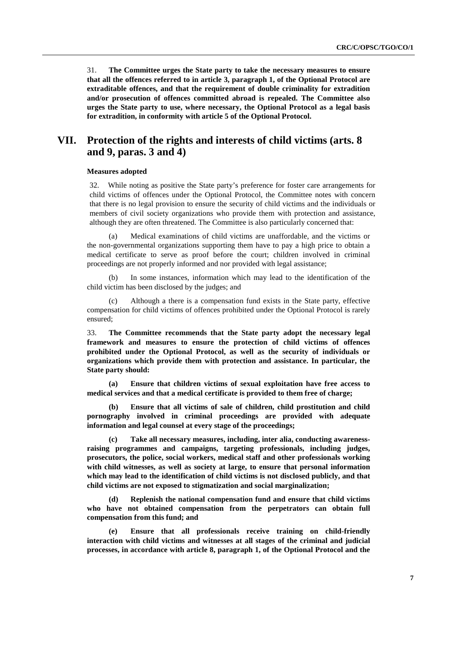31. **The Committee urges the State party to take the necessary measures to ensure that all the offences referred to in article 3, paragraph 1, of the Optional Protocol are extraditable offences, and that the requirement of double criminality for extradition and/or prosecution of offences committed abroad is repealed. The Committee also urges the State party to use, where necessary, the Optional Protocol as a legal basis for extradition, in conformity with article 5 of the Optional Protocol.** 

## **VII. Protection of the rights and interests of child victims (arts. 8 and 9, paras. 3 and 4)**

### **Measures adopted**

32. While noting as positive the State party's preference for foster care arrangements for child victims of offences under the Optional Protocol, the Committee notes with concern that there is no legal provision to ensure the security of child victims and the individuals or members of civil society organizations who provide them with protection and assistance, although they are often threatened. The Committee is also particularly concerned that:

Medical examinations of child victims are unaffordable, and the victims or the non-governmental organizations supporting them have to pay a high price to obtain a medical certificate to serve as proof before the court; children involved in criminal proceedings are not properly informed and nor provided with legal assistance;

(b) In some instances, information which may lead to the identification of the child victim has been disclosed by the judges; and

Although a there is a compensation fund exists in the State party, effective compensation for child victims of offences prohibited under the Optional Protocol is rarely ensured;

33. **The Committee recommends that the State party adopt the necessary legal framework and measures to ensure the protection of child victims of offences prohibited under the Optional Protocol, as well as the security of individuals or organizations which provide them with protection and assistance. In particular, the State party should:** 

**(a) Ensure that children victims of sexual exploitation have free access to medical services and that a medical certificate is provided to them free of charge;** 

**(b) Ensure that all victims of sale of children, child prostitution and child pornography involved in criminal proceedings are provided with adequate information and legal counsel at every stage of the proceedings;** 

**(c) Take all necessary measures, including, inter alia, conducting awarenessraising programmes and campaigns, targeting professionals, including judges, prosecutors, the police, social workers, medical staff and other professionals working with child witnesses, as well as society at large, to ensure that personal information which may lead to the identification of child victims is not disclosed publicly, and that child victims are not exposed to stigmatization and social marginalization;** 

**(d) Replenish the national compensation fund and ensure that child victims who have not obtained compensation from the perpetrators can obtain full compensation from this fund; and** 

**(e) Ensure that all professionals receive training on child-friendly interaction with child victims and witnesses at all stages of the criminal and judicial processes, in accordance with article 8, paragraph 1, of the Optional Protocol and the**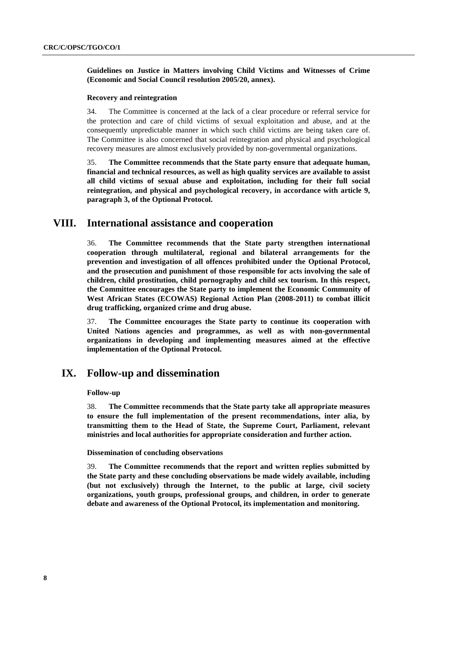**Guidelines on Justice in Matters involving Child Victims and Witnesses of Crime (Economic and Social Council resolution 2005/20, annex).** 

#### **Recovery and reintegration**

34. The Committee is concerned at the lack of a clear procedure or referral service for the protection and care of child victims of sexual exploitation and abuse, and at the consequently unpredictable manner in which such child victims are being taken care of. The Committee is also concerned that social reintegration and physical and psychological recovery measures are almost exclusively provided by non-governmental organizations.

35. **The Committee recommends that the State party ensure that adequate human, financial and technical resources, as well as high quality services are available to assist all child victims of sexual abuse and exploitation, including for their full social reintegration, and physical and psychological recovery, in accordance with article 9, paragraph 3, of the Optional Protocol.** 

## **VIII. International assistance and cooperation**

36. **The Committee recommends that the State party strengthen international cooperation through multilateral, regional and bilateral arrangements for the prevention and investigation of all offences prohibited under the Optional Protocol, and the prosecution and punishment of those responsible for acts involving the sale of children, child prostitution, child pornography and child sex tourism. In this respect, the Committee encourages the State party to implement the Economic Community of West African States (ECOWAS) Regional Action Plan (2008-2011) to combat illicit drug trafficking, organized crime and drug abuse.** 

37. **The Committee encourages the State party to continue its cooperation with United Nations agencies and programmes, as well as with non-governmental organizations in developing and implementing measures aimed at the effective implementation of the Optional Protocol.** 

## **IX. Follow-up and dissemination**

#### **Follow-up**

38. **The Committee recommends that the State party take all appropriate measures to ensure the full implementation of the present recommendations, inter alia, by transmitting them to the Head of State, the Supreme Court, Parliament, relevant ministries and local authorities for appropriate consideration and further action.** 

#### **Dissemination of concluding observations**

39. **The Committee recommends that the report and written replies submitted by the State party and these concluding observations be made widely available, including (but not exclusively) through the Internet, to the public at large, civil society organizations, youth groups, professional groups, and children, in order to generate debate and awareness of the Optional Protocol, its implementation and monitoring.**